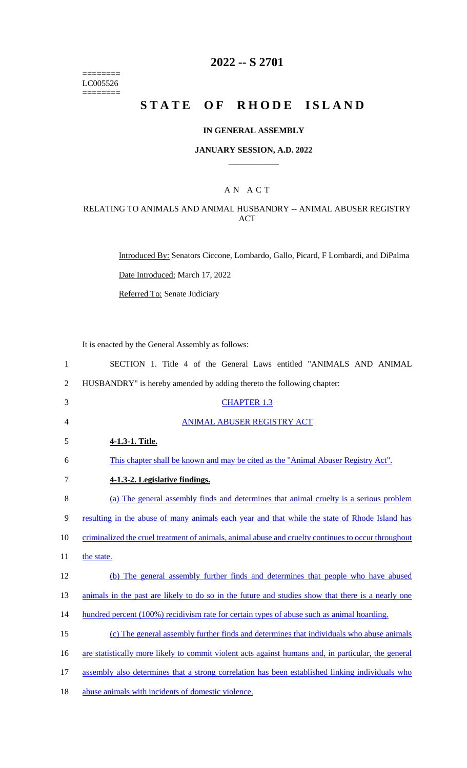======== LC005526  $=$ 

# **2022 -- S 2701**

# **STATE OF RHODE ISLAND**

### **IN GENERAL ASSEMBLY**

#### **JANUARY SESSION, A.D. 2022 \_\_\_\_\_\_\_\_\_\_\_\_**

# A N A C T

# RELATING TO ANIMALS AND ANIMAL HUSBANDRY -- ANIMAL ABUSER REGISTRY ACT

Introduced By: Senators Ciccone, Lombardo, Gallo, Picard, F Lombardi, and DiPalma

Date Introduced: March 17, 2022

Referred To: Senate Judiciary

It is enacted by the General Assembly as follows:

| $\mathbf{1}$   | SECTION 1. Title 4 of the General Laws entitled "ANIMALS AND ANIMAL                                 |
|----------------|-----------------------------------------------------------------------------------------------------|
| $\overline{2}$ | HUSBANDRY" is hereby amended by adding thereto the following chapter:                               |
| 3              | <b>CHAPTER 1.3</b>                                                                                  |
| 4              | ANIMAL ABUSER REGISTRY ACT                                                                          |
| 5              | 4-1.3-1. Title.                                                                                     |
| 6              | This chapter shall be known and may be cited as the "Animal Abuser Registry Act".                   |
| 7              | 4-1.3-2. Legislative findings.                                                                      |
| 8              | (a) The general assembly finds and determines that animal cruelty is a serious problem              |
| 9              | resulting in the abuse of many animals each year and that while the state of Rhode Island has       |
| 10             | criminalized the cruel treatment of animals, animal abuse and cruelty continues to occur throughout |
| 11             | the state.                                                                                          |
| 12             | (b) The general assembly further finds and determines that people who have abused                   |
| 13             | animals in the past are likely to do so in the future and studies show that there is a nearly one   |
| 14             | hundred percent (100%) recidivism rate for certain types of abuse such as animal hoarding.          |
| 15             | (c) The general assembly further finds and determines that individuals who abuse animals            |
| 16             | are statistically more likely to commit violent acts against humans and, in particular, the general |
| 17             | assembly also determines that a strong correlation has been established linking individuals who     |
| 18             | abuse animals with incidents of domestic violence.                                                  |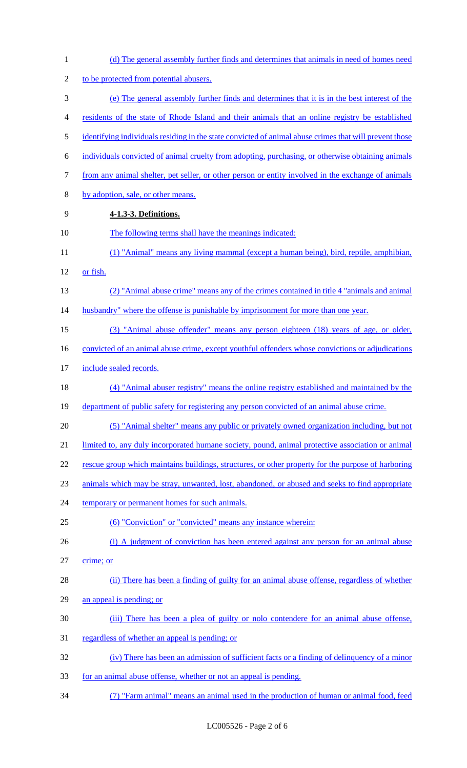| $\mathbf{1}$   | (d) The general assembly further finds and determines that animals in need of homes need               |
|----------------|--------------------------------------------------------------------------------------------------------|
| $\overline{2}$ | to be protected from potential abusers.                                                                |
| 3              | (e) The general assembly further finds and determines that it is in the best interest of the           |
| 4              | residents of the state of Rhode Island and their animals that an online registry be established        |
| 5              | identifying individuals residing in the state convicted of animal abuse crimes that will prevent those |
| 6              | individuals convicted of animal cruelty from adopting, purchasing, or otherwise obtaining animals      |
| 7              | from any animal shelter, pet seller, or other person or entity involved in the exchange of animals     |
| 8              | by adoption, sale, or other means.                                                                     |
| 9              | 4-1.3-3. Definitions.                                                                                  |
| 10             | The following terms shall have the meanings indicated:                                                 |
| 11             | (1) "Animal" means any living mammal (except a human being), bird, reptile, amphibian,                 |
| 12             | or fish.                                                                                               |
| 13             | (2) "Animal abuse crime" means any of the crimes contained in title 4 "animals and animal"             |
| 14             | husbandry" where the offense is punishable by imprisonment for more than one year.                     |
| 15             | (3) "Animal abuse offender" means any person eighteen (18) years of age, or older,                     |
| 16             | convicted of an animal abuse crime, except youthful offenders whose convictions or adjudications       |
| 17             | include sealed records.                                                                                |
| 18             | (4) "Animal abuser registry" means the online registry established and maintained by the               |
| 19             | department of public safety for registering any person convicted of an animal abuse crime.             |
| 20             | (5) "Animal shelter" means any public or privately owned organization including, but not               |
| 21             | limited to, any duly incorporated humane society, pound, animal protective association or animal       |
| 22             | rescue group which maintains buildings, structures, or other property for the purpose of harboring     |
| 23             | animals which may be stray, unwanted, lost, abandoned, or abused and seeks to find appropriate         |
| 24             | temporary or permanent homes for such animals.                                                         |
| 25             | (6) "Conviction" or "convicted" means any instance wherein:                                            |
| 26             | (i) A judgment of conviction has been entered against any person for an animal abuse                   |
| 27             | crime; or                                                                                              |
| 28             | (ii) There has been a finding of guilty for an animal abuse offense, regardless of whether             |
| 29             | an appeal is pending; or                                                                               |
| 30             | (iii) There has been a plea of guilty or not ocontendere for an animal abuse offense,                  |
| 31             | regardless of whether an appeal is pending; or                                                         |
| 32             | (iv) There has been an admission of sufficient facts or a finding of delinquency of a minor            |
| 33             | for an animal abuse offense, whether or not an appeal is pending.                                      |
| 34             | (7) "Farm animal" means an animal used in the production of human or animal food, feed                 |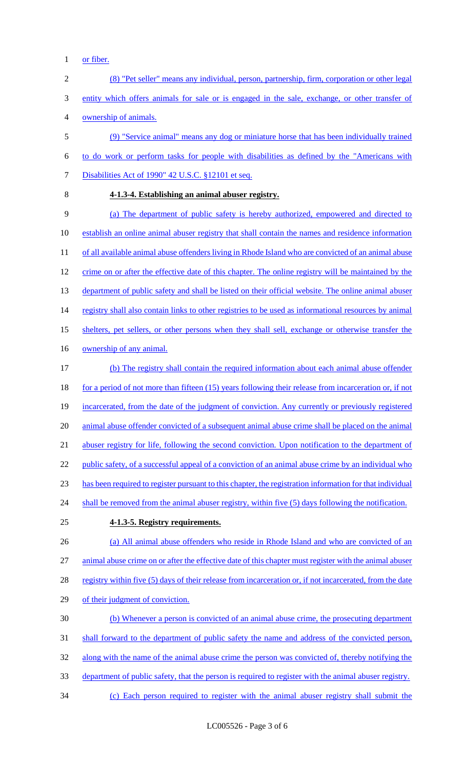- 1 or fiber.
- 2 (8) "Pet seller" means any individual, person, partnership, firm, corporation or other legal 3 entity which offers animals for sale or is engaged in the sale, exchange, or other transfer of 4 ownership of animals. 5 (9) "Service animal" means any dog or miniature horse that has been individually trained 6 to do work or perform tasks for people with disabilities as defined by the "Americans with
- 

## 8 **4-1.3-4. Establishing an animal abuser registry.**

7 Disabilities Act of 1990" 42 U.S.C. §12101 et seq.

9 (a) The department of public safety is hereby authorized, empowered and directed to 10 establish an online animal abuser registry that shall contain the names and residence information 11 of all available animal abuse offenders living in Rhode Island who are convicted of an animal abuse 12 crime on or after the effective date of this chapter. The online registry will be maintained by the 13 department of public safety and shall be listed on their official website. The online animal abuser 14 registry shall also contain links to other registries to be used as informational resources by animal 15 shelters, pet sellers, or other persons when they shall sell, exchange or otherwise transfer the 16 ownership of any animal. 17 (b) The registry shall contain the required information about each animal abuse offender 18 for a period of not more than fifteen (15) years following their release from incarceration or, if not 19 incarcerated, from the date of the judgment of conviction. Any currently or previously registered 20 animal abuse offender convicted of a subsequent animal abuse crime shall be placed on the animal

21 abuser registry for life, following the second conviction. Upon notification to the department of

22 public safety, of a successful appeal of a conviction of an animal abuse crime by an individual who

23 has been required to register pursuant to this chapter, the registration information for that individual

- 24 shall be removed from the animal abuser registry, within five (5) days following the notification.
- 25 **4-1.3-5. Registry requirements.**

26 (a) All animal abuse offenders who reside in Rhode Island and who are convicted of an 27 animal abuse crime on or after the effective date of this chapter must register with the animal abuser 28 registry within five (5) days of their release from incarceration or, if not incarcerated, from the date

- 29 of their judgment of conviction.
- 30 (b) Whenever a person is convicted of an animal abuse crime, the prosecuting department
- 31 shall forward to the department of public safety the name and address of the convicted person,
- 32 along with the name of the animal abuse crime the person was convicted of, thereby notifying the
- 33 department of public safety, that the person is required to register with the animal abuser registry.
- 34 (c) Each person required to register with the animal abuser registry shall submit the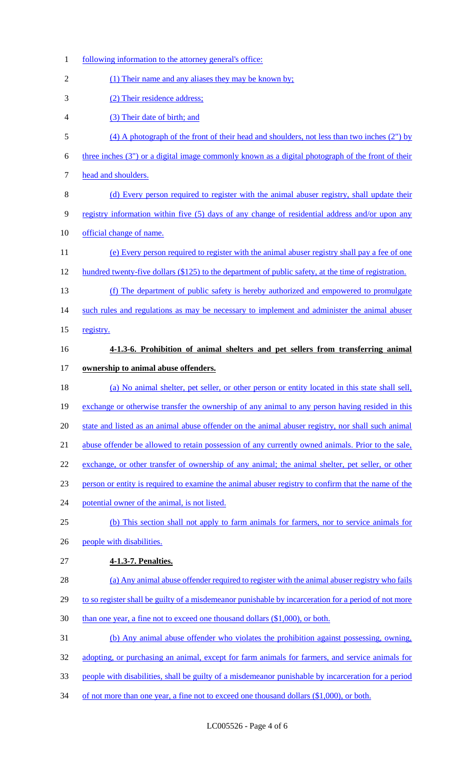| $\mathbf{1}$   | following information to the attorney general's office:                                              |
|----------------|------------------------------------------------------------------------------------------------------|
| $\overline{2}$ | (1) Their name and any aliases they may be known by;                                                 |
| 3              | (2) Their residence address;                                                                         |
| 4              | (3) Their date of birth; and                                                                         |
| 5              | $(4)$ A photograph of the front of their head and shoulders, not less than two inches $(2'')$ by     |
| 6              | three inches (3") or a digital image commonly known as a digital photograph of the front of their    |
| 7              | head and shoulders.                                                                                  |
| 8              | (d) Every person required to register with the animal abuser registry, shall update their            |
| 9              | registry information within five (5) days of any change of residential address and/or upon any       |
| 10             | official change of name.                                                                             |
| 11             | (e) Every person required to register with the animal abuser registry shall pay a fee of one         |
| 12             | hundred twenty-five dollars (\$125) to the department of public safety, at the time of registration. |
| 13             | (f) The department of public safety is hereby authorized and empowered to promulgate                 |
| 14             | such rules and regulations as may be necessary to implement and administer the animal abuser         |
| 15             | registry.                                                                                            |
| 16             | 4-1.3-6. Prohibition of animal shelters and pet sellers from transferring animal                     |
| 17             | ownership to animal abuse offenders.                                                                 |
| 18             | (a) No animal shelter, pet seller, or other person or entity located in this state shall sell,       |
| 19             | exchange or otherwise transfer the ownership of any animal to any person having resided in this      |
| 20             | state and listed as an animal abuse offender on the animal abuser registry, nor shall such animal    |
| 21             | abuse offender be allowed to retain possession of any currently owned animals. Prior to the sale,    |
| 22             | exchange, or other transfer of ownership of any animal; the animal shelter, pet seller, or other     |
| 23             | person or entity is required to examine the animal abuser registry to confirm that the name of the   |
| 24             | potential owner of the animal, is not listed.                                                        |
| 25             | (b) This section shall not apply to farm animals for farmers, nor to service animals for             |
| 26             | people with disabilities.                                                                            |
| 27             | 4-1.3-7. Penalties.                                                                                  |
| 28             | (a) Any animal abuse offender required to register with the animal abuser registry who fails         |
| 29             | to so register shall be guilty of a misdemeanor punishable by incarceration for a period of not more |
| 30             | than one year, a fine not to exceed one thousand dollars (\$1,000), or both.                         |
| 31             | (b) Any animal abuse offender who violates the prohibition against possessing, owning,               |
| 32             | adopting, or purchasing an animal, except for farm animals for farmers, and service animals for      |
| 33             | people with disabilities, shall be guilty of a misdemeanor punishable by incarceration for a period  |
| 34             | of not more than one year, a fine not to exceed one thousand dollars $(\$1,000)$ , or both.          |
|                |                                                                                                      |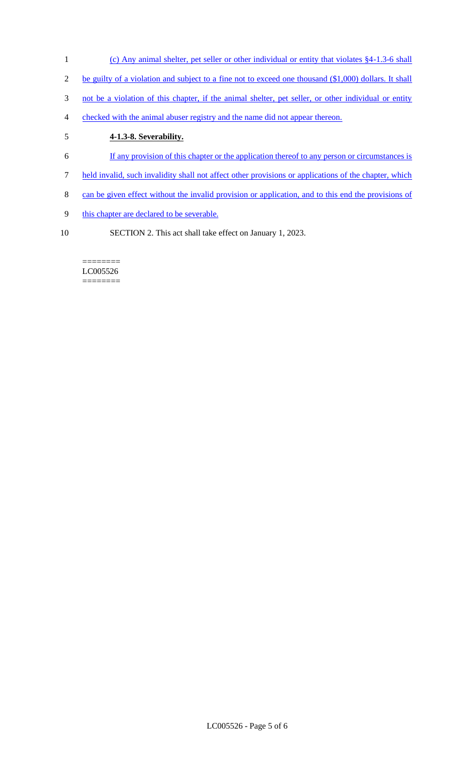- 1 (c) Any animal shelter, pet seller or other individual or entity that violates §4-1.3-6 shall
- 2 be guilty of a violation and subject to a fine not to exceed one thousand (\$1,000) dollars. It shall
- 3 not be a violation of this chapter, if the animal shelter, pet seller, or other individual or entity
- 4 checked with the animal abuser registry and the name did not appear thereon.

# 5 **4-1.3-8. Severability.**

- 6 If any provision of this chapter or the application thereof to any person or circumstances is
- 7 held invalid, such invalidity shall not affect other provisions or applications of the chapter, which
- 8 can be given effect without the invalid provision or application, and to this end the provisions of
- 9 this chapter are declared to be severable.
- 10 SECTION 2. This act shall take effect on January 1, 2023.

#### ======== LC005526 ========